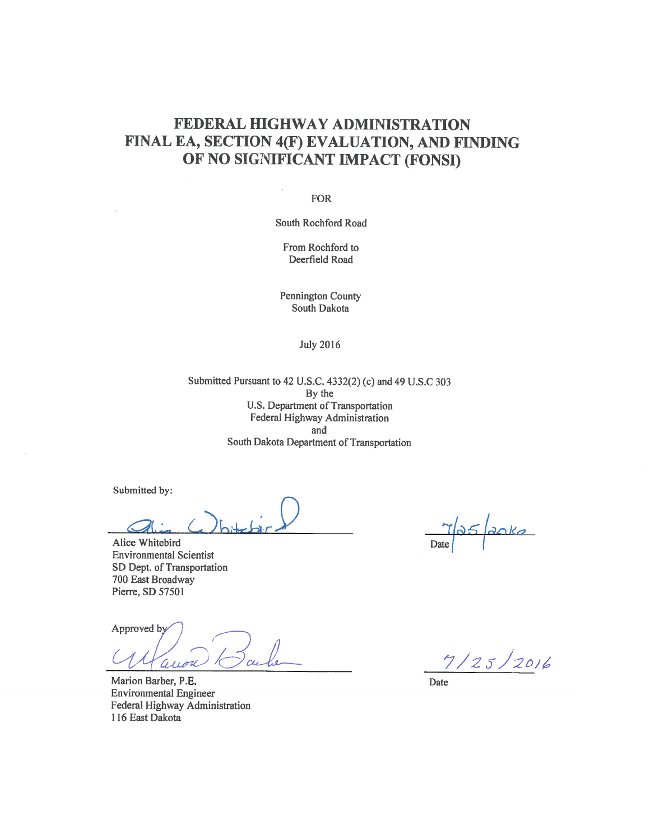#### FEDERAL HIGHWAY ADMINISTRATION FINAL EA, SECTION 4(F) EVALUATION, AND FINDING OF NO SIGNIFICANT IMPACT (FONSI)

**FOR** 

South Rochford Road

From Rochford to Deerfield Road

Pennington County South Dakota

**July 2016** 

Submitted Pursuant to 42 U.S.C. 4332(2) (c) and 49 U.S.C 303 By the U.S. Department of Transportation Federal Highway Administration and South Dakota Department of Transportation

Submitted by:

Alice Whitebird **Environmental Scientist** SD Dept. of Transportation 700 East Broadway Pierre, SD 57501

Approved by  $\alpha$ aron

Marion Barber, P.E. **Environmental Engineer** Federal Highway Administration 116 East Dakota

 $25/20kg$ 

 $7/25/2016$ 

Date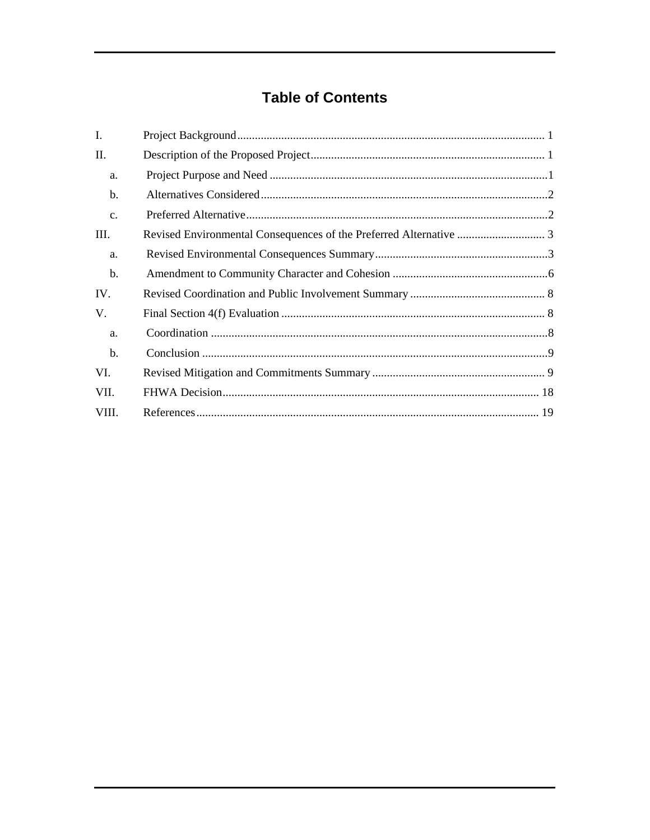## **Table of Contents**

| L.    |  |
|-------|--|
| Π.    |  |
| a.    |  |
| $b$   |  |
| c.    |  |
| Ш.    |  |
| a.    |  |
| b.    |  |
| IV.   |  |
| V.    |  |
| a.    |  |
| b.    |  |
| VI.   |  |
| VII.  |  |
| VIII. |  |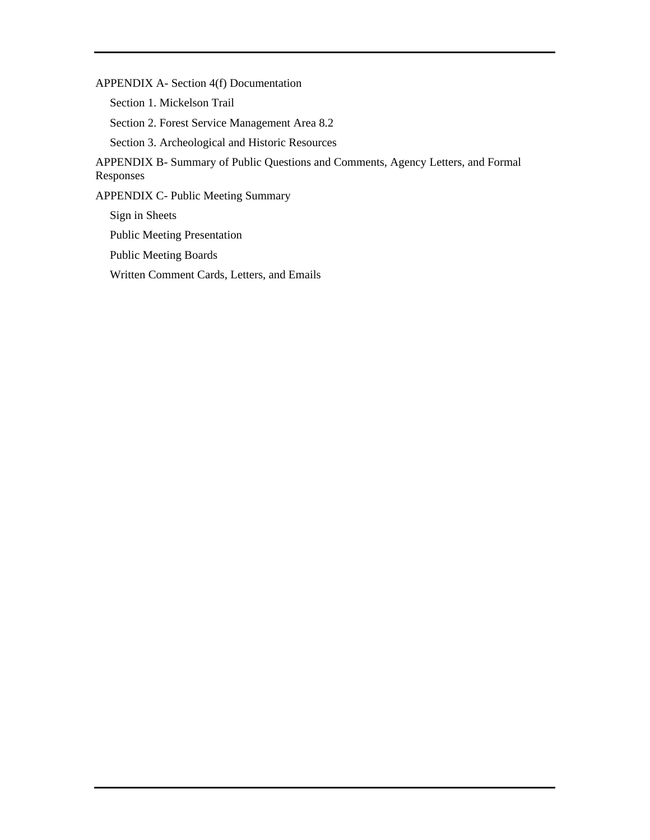APPENDIX A- Section 4(f) Documentation

Section 1. Mickelson Trail

Section 2. Forest Service Management Area 8.2

Section 3. Archeological and Historic Resources

APPENDIX B- Summary of Public Questions and Comments, Agency Letters, and Formal Responses

APPENDIX C- Public Meeting Summary

Sign in Sheets Public Meeting Presentation Public Meeting Boards Written Comment Cards, Letters, and Emails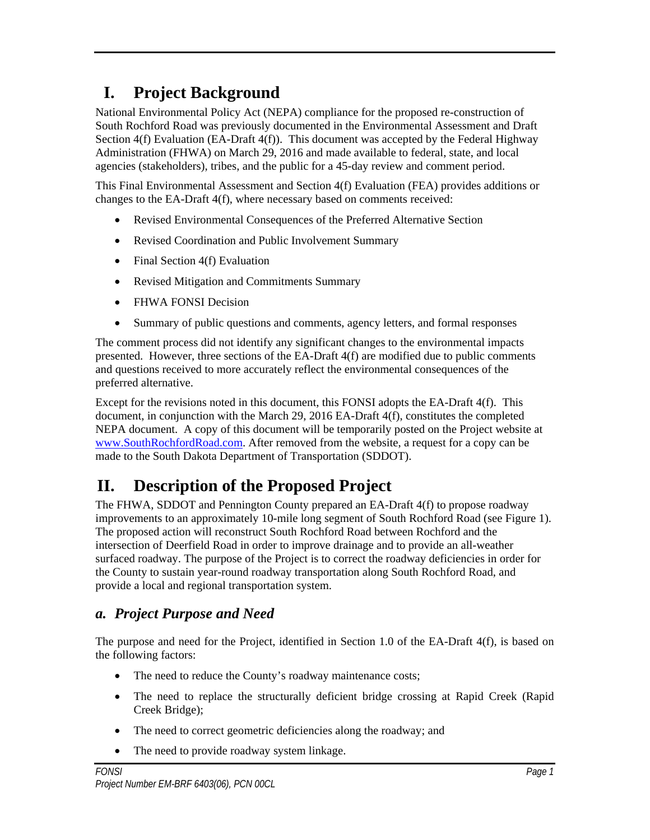# **I. Project Background**

National Environmental Policy Act (NEPA) compliance for the proposed re-construction of South Rochford Road was previously documented in the Environmental Assessment and Draft Section 4(f) Evaluation (EA-Draft 4(f)). This document was accepted by the Federal Highway Administration (FHWA) on March 29, 2016 and made available to federal, state, and local agencies (stakeholders), tribes, and the public for a 45-day review and comment period.

This Final Environmental Assessment and Section 4(f) Evaluation (FEA) provides additions or changes to the EA-Draft 4(f), where necessary based on comments received:

- Revised Environmental Consequences of the Preferred Alternative Section
- Revised Coordination and Public Involvement Summary
- $\bullet$  Final Section 4(f) Evaluation
- Revised Mitigation and Commitments Summary
- FHWA FONSI Decision
- Summary of public questions and comments, agency letters, and formal responses

The comment process did not identify any significant changes to the environmental impacts presented. However, three sections of the EA-Draft 4(f) are modified due to public comments and questions received to more accurately reflect the environmental consequences of the preferred alternative.

Except for the revisions noted in this document, this FONSI adopts the EA-Draft 4(f). This document, in conjunction with the March 29, 2016 EA-Draft 4(f), constitutes the completed NEPA document. A copy of this document will be temporarily posted on the Project website at www.SouthRochfordRoad.com. After removed from the website, a request for a copy can be made to the South Dakota Department of Transportation (SDDOT).

# **II. Description of the Proposed Project**

The FHWA, SDDOT and Pennington County prepared an EA-Draft 4(f) to propose roadway improvements to an approximately 10-mile long segment of South Rochford Road (see Figure 1). The proposed action will reconstruct South Rochford Road between Rochford and the intersection of Deerfield Road in order to improve drainage and to provide an all-weather surfaced roadway. The purpose of the Project is to correct the roadway deficiencies in order for the County to sustain year-round roadway transportation along South Rochford Road, and provide a local and regional transportation system.

### *a. Project Purpose and Need*

The purpose and need for the Project, identified in Section 1.0 of the EA-Draft 4(f), is based on the following factors:

- The need to reduce the County's roadway maintenance costs;
- The need to replace the structurally deficient bridge crossing at Rapid Creek (Rapid Creek Bridge);
- The need to correct geometric deficiencies along the roadway; and
- The need to provide roadway system linkage.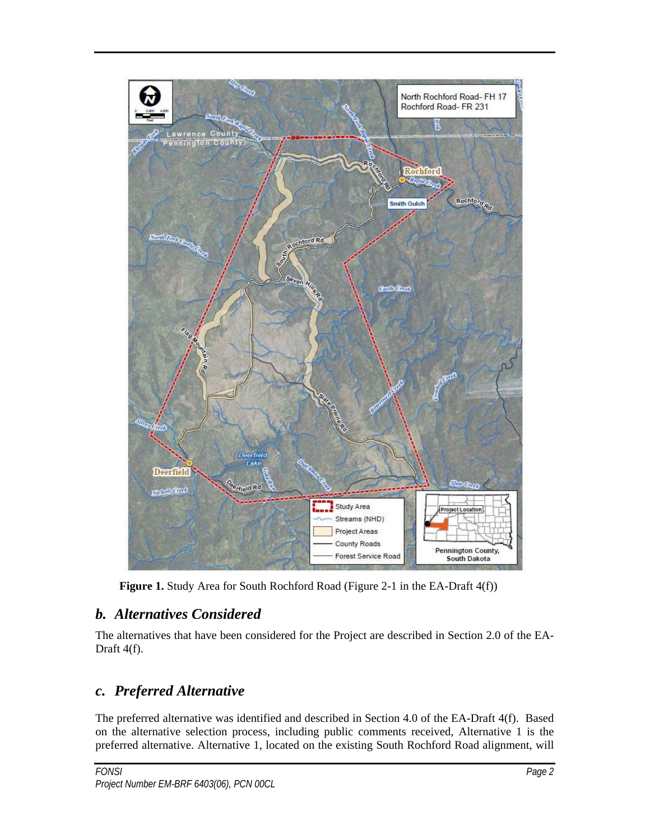

Figure 1. Study Area for South Rochford Road (Figure 2-1 in the EA-Draft 4(f))

### *b. Alternatives Considered*

The alternatives that have been considered for the Project are described in Section 2.0 of the EA-Draft 4(f).

### *c. Preferred Alternative*

The preferred alternative was identified and described in Section 4.0 of the EA-Draft 4(f). Based on the alternative selection process, including public comments received, Alternative 1 is the preferred alternative. Alternative 1, located on the existing South Rochford Road alignment, will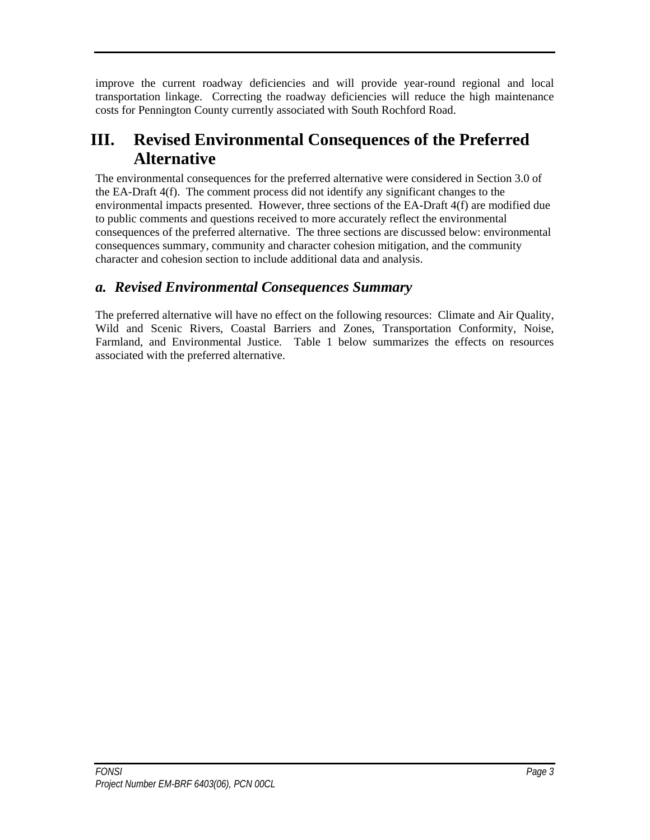improve the current roadway deficiencies and will provide year-round regional and local transportation linkage. Correcting the roadway deficiencies will reduce the high maintenance costs for Pennington County currently associated with South Rochford Road.

# **III. Revised Environmental Consequences of the Preferred Alternative**

The environmental consequences for the preferred alternative were considered in Section 3.0 of the EA-Draft 4(f). The comment process did not identify any significant changes to the environmental impacts presented. However, three sections of the EA-Draft 4(f) are modified due to public comments and questions received to more accurately reflect the environmental consequences of the preferred alternative. The three sections are discussed below: environmental consequences summary, community and character cohesion mitigation, and the community character and cohesion section to include additional data and analysis.

### *a. Revised Environmental Consequences Summary*

The preferred alternative will have no effect on the following resources: Climate and Air Quality, Wild and Scenic Rivers, Coastal Barriers and Zones, Transportation Conformity, Noise, Farmland, and Environmental Justice. Table 1 below summarizes the effects on resources associated with the preferred alternative.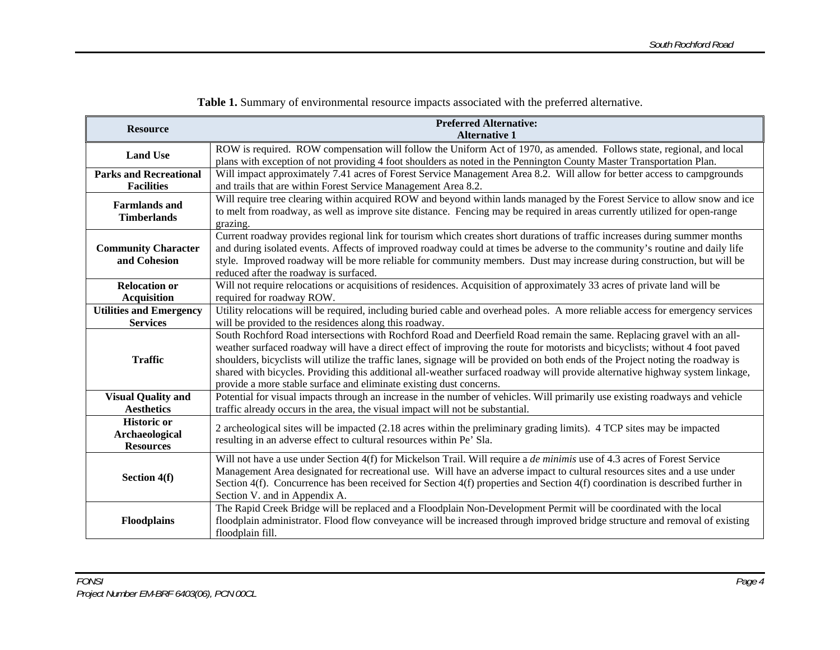| <b>Resource</b>                                                 | <b>Preferred Alternative:</b><br><b>Alternative 1</b>                                                                                                                                                                                                                                                                                                                                                                                                                                                                                                                                              |
|-----------------------------------------------------------------|----------------------------------------------------------------------------------------------------------------------------------------------------------------------------------------------------------------------------------------------------------------------------------------------------------------------------------------------------------------------------------------------------------------------------------------------------------------------------------------------------------------------------------------------------------------------------------------------------|
| <b>Land Use</b>                                                 | ROW is required. ROW compensation will follow the Uniform Act of 1970, as amended. Follows state, regional, and local<br>plans with exception of not providing 4 foot shoulders as noted in the Pennington County Master Transportation Plan.                                                                                                                                                                                                                                                                                                                                                      |
| <b>Parks and Recreational</b><br><b>Facilities</b>              | Will impact approximately 7.41 acres of Forest Service Management Area 8.2. Will allow for better access to campgrounds<br>and trails that are within Forest Service Management Area 8.2.                                                                                                                                                                                                                                                                                                                                                                                                          |
| <b>Farmlands</b> and<br><b>Timberlands</b>                      | Will require tree clearing within acquired ROW and beyond within lands managed by the Forest Service to allow snow and ice<br>to melt from roadway, as well as improve site distance. Fencing may be required in areas currently utilized for open-range<br>grazing.                                                                                                                                                                                                                                                                                                                               |
| <b>Community Character</b><br>and Cohesion                      | Current roadway provides regional link for tourism which creates short durations of traffic increases during summer months<br>and during isolated events. Affects of improved roadway could at times be adverse to the community's routine and daily life<br>style. Improved roadway will be more reliable for community members. Dust may increase during construction, but will be<br>reduced after the roadway is surfaced.                                                                                                                                                                     |
| <b>Relocation or</b><br><b>Acquisition</b>                      | Will not require relocations or acquisitions of residences. Acquisition of approximately 33 acres of private land will be<br>required for roadway ROW.                                                                                                                                                                                                                                                                                                                                                                                                                                             |
| <b>Utilities and Emergency</b><br><b>Services</b>               | Utility relocations will be required, including buried cable and overhead poles. A more reliable access for emergency services<br>will be provided to the residences along this roadway.                                                                                                                                                                                                                                                                                                                                                                                                           |
| <b>Traffic</b>                                                  | South Rochford Road intersections with Rochford Road and Deerfield Road remain the same. Replacing gravel with an all-<br>weather surfaced roadway will have a direct effect of improving the route for motorists and bicyclists; without 4 foot paved<br>shoulders, bicyclists will utilize the traffic lanes, signage will be provided on both ends of the Project noting the roadway is<br>shared with bicycles. Providing this additional all-weather surfaced roadway will provide alternative highway system linkage,<br>provide a more stable surface and eliminate existing dust concerns. |
| <b>Visual Quality and</b><br><b>Aesthetics</b>                  | Potential for visual impacts through an increase in the number of vehicles. Will primarily use existing roadways and vehicle<br>traffic already occurs in the area, the visual impact will not be substantial.                                                                                                                                                                                                                                                                                                                                                                                     |
| <b>Historic or</b><br><b>Archaeological</b><br><b>Resources</b> | 2 archeological sites will be impacted (2.18 acres within the preliminary grading limits). 4 TCP sites may be impacted<br>resulting in an adverse effect to cultural resources within Pe' Sla.                                                                                                                                                                                                                                                                                                                                                                                                     |
| Section 4(f)                                                    | Will not have a use under Section 4(f) for Mickelson Trail. Will require a $de$ minimis use of 4.3 acres of Forest Service<br>Management Area designated for recreational use. Will have an adverse impact to cultural resources sites and a use under<br>Section 4(f). Concurrence has been received for Section 4(f) properties and Section 4(f) coordination is described further in<br>Section V. and in Appendix A.                                                                                                                                                                           |
| <b>Floodplains</b>                                              | The Rapid Creek Bridge will be replaced and a Floodplain Non-Development Permit will be coordinated with the local<br>floodplain administrator. Flood flow conveyance will be increased through improved bridge structure and removal of existing<br>floodplain fill.                                                                                                                                                                                                                                                                                                                              |

**Table 1.** Summary of environmental resource impacts associated with the preferred alternative.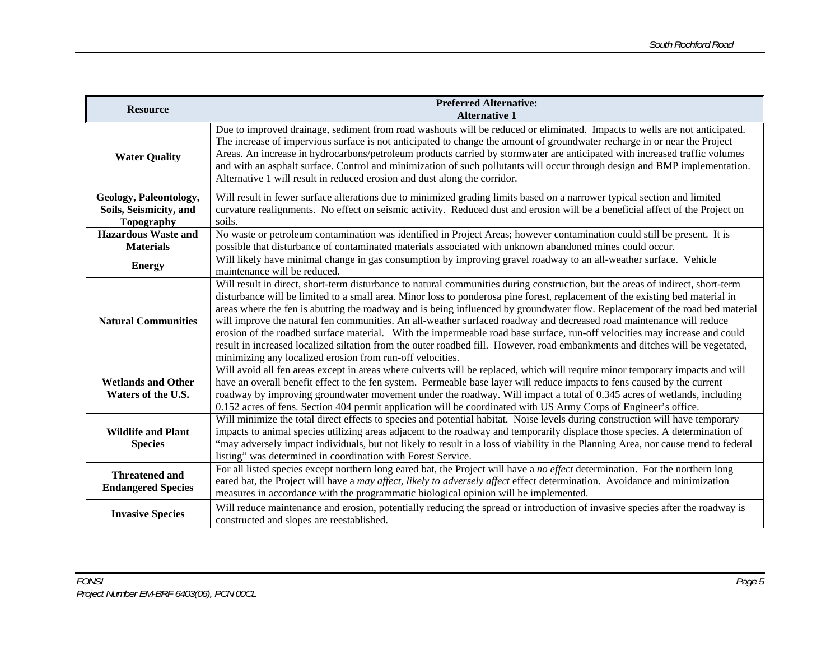| <b>Resource</b>                                                       | <b>Preferred Alternative:</b><br><b>Alternative 1</b>                                                                                                                                                                                                                                                                                                                                                                                                                                                                                                                                                                                                                                                                                                                                                                                                 |
|-----------------------------------------------------------------------|-------------------------------------------------------------------------------------------------------------------------------------------------------------------------------------------------------------------------------------------------------------------------------------------------------------------------------------------------------------------------------------------------------------------------------------------------------------------------------------------------------------------------------------------------------------------------------------------------------------------------------------------------------------------------------------------------------------------------------------------------------------------------------------------------------------------------------------------------------|
| <b>Water Quality</b>                                                  | Due to improved drainage, sediment from road washouts will be reduced or eliminated. Impacts to wells are not anticipated.<br>The increase of impervious surface is not anticipated to change the amount of groundwater recharge in or near the Project<br>Areas. An increase in hydrocarbons/petroleum products carried by stormwater are anticipated with increased traffic volumes<br>and with an asphalt surface. Control and minimization of such pollutants will occur through design and BMP implementation.<br>Alternative 1 will result in reduced erosion and dust along the corridor.                                                                                                                                                                                                                                                      |
| Geology, Paleontology,<br>Soils, Seismicity, and<br><b>Topography</b> | Will result in fewer surface alterations due to minimized grading limits based on a narrower typical section and limited<br>curvature realignments. No effect on seismic activity. Reduced dust and erosion will be a beneficial affect of the Project on<br>soils.                                                                                                                                                                                                                                                                                                                                                                                                                                                                                                                                                                                   |
| <b>Hazardous Waste and</b><br><b>Materials</b>                        | No waste or petroleum contamination was identified in Project Areas; however contamination could still be present. It is<br>possible that disturbance of contaminated materials associated with unknown abandoned mines could occur.                                                                                                                                                                                                                                                                                                                                                                                                                                                                                                                                                                                                                  |
| <b>Energy</b>                                                         | Will likely have minimal change in gas consumption by improving gravel roadway to an all-weather surface. Vehicle<br>maintenance will be reduced.                                                                                                                                                                                                                                                                                                                                                                                                                                                                                                                                                                                                                                                                                                     |
| <b>Natural Communities</b>                                            | Will result in direct, short-term disturbance to natural communities during construction, but the areas of indirect, short-term<br>disturbance will be limited to a small area. Minor loss to ponderosa pine forest, replacement of the existing bed material in<br>areas where the fen is abutting the roadway and is being influenced by groundwater flow. Replacement of the road bed material<br>will improve the natural fen communities. An all-weather surfaced roadway and decreased road maintenance will reduce<br>erosion of the roadbed surface material. With the impermeable road base surface, run-off velocities may increase and could<br>result in increased localized siltation from the outer roadbed fill. However, road embankments and ditches will be vegetated,<br>minimizing any localized erosion from run-off velocities. |
| <b>Wetlands and Other</b><br>Waters of the U.S.                       | Will avoid all fen areas except in areas where culverts will be replaced, which will require minor temporary impacts and will<br>have an overall benefit effect to the fen system. Permeable base layer will reduce impacts to fens caused by the current<br>roadway by improving groundwater movement under the roadway. Will impact a total of 0.345 acres of wetlands, including<br>0.152 acres of fens. Section 404 permit application will be coordinated with US Army Corps of Engineer's office.                                                                                                                                                                                                                                                                                                                                               |
| <b>Wildlife and Plant</b><br><b>Species</b>                           | Will minimize the total direct effects to species and potential habitat. Noise levels during construction will have temporary<br>impacts to animal species utilizing areas adjacent to the roadway and temporarily displace those species. A determination of<br>"may adversely impact individuals, but not likely to result in a loss of viability in the Planning Area, nor cause trend to federal<br>listing" was determined in coordination with Forest Service.                                                                                                                                                                                                                                                                                                                                                                                  |
| <b>Threatened and</b><br><b>Endangered Species</b>                    | For all listed species except northern long eared bat, the Project will have a no effect determination. For the northern long<br>eared bat, the Project will have a may affect, likely to adversely affect effect determination. Avoidance and minimization<br>measures in accordance with the programmatic biological opinion will be implemented.                                                                                                                                                                                                                                                                                                                                                                                                                                                                                                   |
| <b>Invasive Species</b>                                               | Will reduce maintenance and erosion, potentially reducing the spread or introduction of invasive species after the roadway is<br>constructed and slopes are reestablished.                                                                                                                                                                                                                                                                                                                                                                                                                                                                                                                                                                                                                                                                            |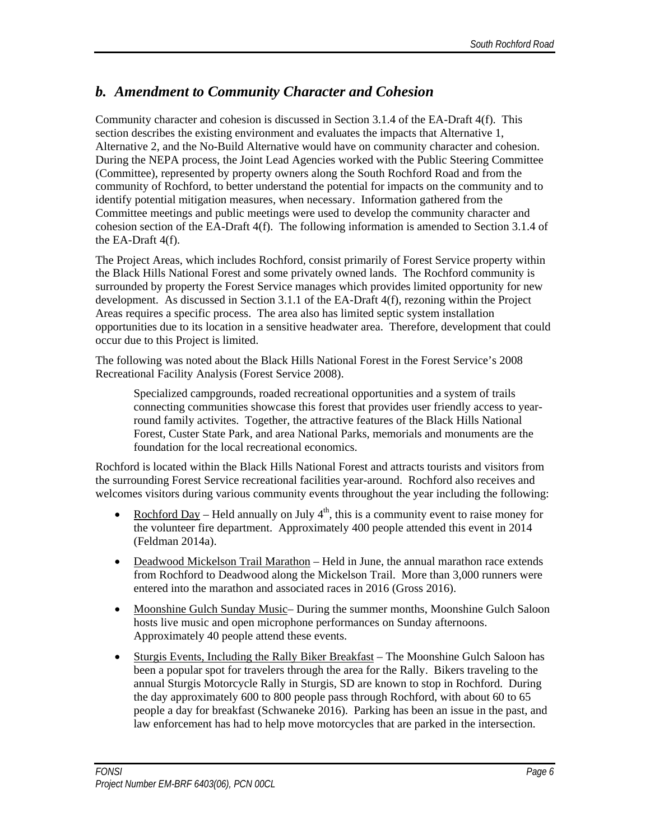### *b. Amendment to Community Character and Cohesion*

Community character and cohesion is discussed in Section 3.1.4 of the EA-Draft 4(f). This section describes the existing environment and evaluates the impacts that Alternative 1, Alternative 2, and the No-Build Alternative would have on community character and cohesion. During the NEPA process, the Joint Lead Agencies worked with the Public Steering Committee (Committee), represented by property owners along the South Rochford Road and from the community of Rochford, to better understand the potential for impacts on the community and to identify potential mitigation measures, when necessary. Information gathered from the Committee meetings and public meetings were used to develop the community character and cohesion section of the EA-Draft 4(f). The following information is amended to Section 3.1.4 of the EA-Draft 4(f).

The Project Areas, which includes Rochford, consist primarily of Forest Service property within the Black Hills National Forest and some privately owned lands. The Rochford community is surrounded by property the Forest Service manages which provides limited opportunity for new development. As discussed in Section 3.1.1 of the EA-Draft 4(f), rezoning within the Project Areas requires a specific process. The area also has limited septic system installation opportunities due to its location in a sensitive headwater area. Therefore, development that could occur due to this Project is limited.

The following was noted about the Black Hills National Forest in the Forest Service's 2008 Recreational Facility Analysis (Forest Service 2008).

Specialized campgrounds, roaded recreational opportunities and a system of trails connecting communities showcase this forest that provides user friendly access to yearround family activites. Together, the attractive features of the Black Hills National Forest, Custer State Park, and area National Parks, memorials and monuments are the foundation for the local recreational economics.

Rochford is located within the Black Hills National Forest and attracts tourists and visitors from the surrounding Forest Service recreational facilities year-around. Rochford also receives and welcomes visitors during various community events throughout the year including the following:

- Rochford Day Held annually on July  $4<sup>th</sup>$ , this is a community event to raise money for the volunteer fire department. Approximately 400 people attended this event in 2014 (Feldman 2014a).
- Deadwood Mickelson Trail Marathon Held in June, the annual marathon race extends from Rochford to Deadwood along the Mickelson Trail. More than 3,000 runners were entered into the marathon and associated races in 2016 (Gross 2016).
- Moonshine Gulch Sunday Music– During the summer months, Moonshine Gulch Saloon hosts live music and open microphone performances on Sunday afternoons. Approximately 40 people attend these events.
- Sturgis Events, Including the Rally Biker Breakfast The Moonshine Gulch Saloon has been a popular spot for travelers through the area for the Rally. Bikers traveling to the annual Sturgis Motorcycle Rally in Sturgis, SD are known to stop in Rochford. During the day approximately 600 to 800 people pass through Rochford, with about 60 to 65 people a day for breakfast (Schwaneke 2016). Parking has been an issue in the past, and law enforcement has had to help move motorcycles that are parked in the intersection.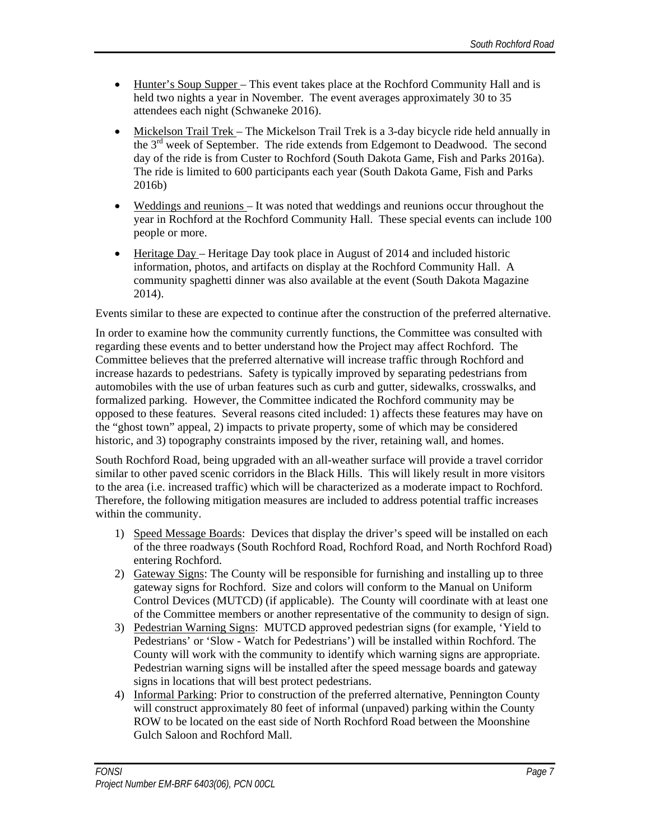- Hunter's Soup Supper This event takes place at the Rochford Community Hall and is held two nights a year in November. The event averages approximately 30 to 35 attendees each night (Schwaneke 2016).
- Mickelson Trail Trek The Mickelson Trail Trek is a 3-day bicycle ride held annually in the 3rd week of September. The ride extends from Edgemont to Deadwood. The second day of the ride is from Custer to Rochford (South Dakota Game, Fish and Parks 2016a). The ride is limited to 600 participants each year (South Dakota Game, Fish and Parks 2016b)
- Weddings and reunions It was noted that weddings and reunions occur throughout the year in Rochford at the Rochford Community Hall. These special events can include 100 people or more.
- Heritage Day Heritage Day took place in August of 2014 and included historic information, photos, and artifacts on display at the Rochford Community Hall. A community spaghetti dinner was also available at the event (South Dakota Magazine 2014).

Events similar to these are expected to continue after the construction of the preferred alternative.

In order to examine how the community currently functions, the Committee was consulted with regarding these events and to better understand how the Project may affect Rochford. The Committee believes that the preferred alternative will increase traffic through Rochford and increase hazards to pedestrians. Safety is typically improved by separating pedestrians from automobiles with the use of urban features such as curb and gutter, sidewalks, crosswalks, and formalized parking. However, the Committee indicated the Rochford community may be opposed to these features. Several reasons cited included: 1) affects these features may have on the "ghost town" appeal, 2) impacts to private property, some of which may be considered historic, and 3) topography constraints imposed by the river, retaining wall, and homes.

South Rochford Road, being upgraded with an all-weather surface will provide a travel corridor similar to other paved scenic corridors in the Black Hills. This will likely result in more visitors to the area (i.e. increased traffic) which will be characterized as a moderate impact to Rochford. Therefore, the following mitigation measures are included to address potential traffic increases within the community.

- 1) Speed Message Boards: Devices that display the driver's speed will be installed on each of the three roadways (South Rochford Road, Rochford Road, and North Rochford Road) entering Rochford.
- 2) Gateway Signs: The County will be responsible for furnishing and installing up to three gateway signs for Rochford. Size and colors will conform to the Manual on Uniform Control Devices (MUTCD) (if applicable). The County will coordinate with at least one of the Committee members or another representative of the community to design of sign.
- 3) Pedestrian Warning Signs: MUTCD approved pedestrian signs (for example, 'Yield to Pedestrians' or 'Slow - Watch for Pedestrians') will be installed within Rochford. The County will work with the community to identify which warning signs are appropriate. Pedestrian warning signs will be installed after the speed message boards and gateway signs in locations that will best protect pedestrians.
- 4) Informal Parking: Prior to construction of the preferred alternative, Pennington County will construct approximately 80 feet of informal (unpaved) parking within the County ROW to be located on the east side of North Rochford Road between the Moonshine Gulch Saloon and Rochford Mall.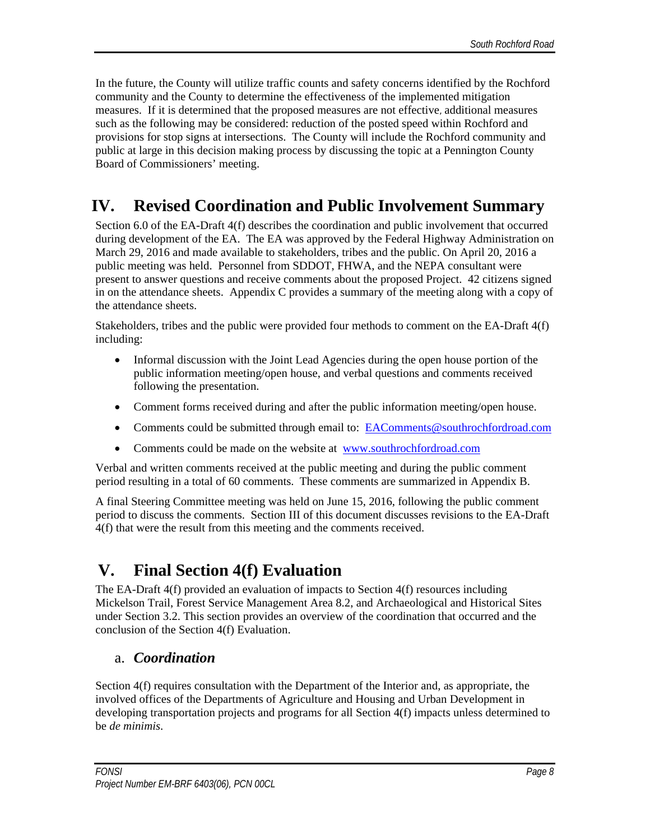In the future, the County will utilize traffic counts and safety concerns identified by the Rochford community and the County to determine the effectiveness of the implemented mitigation measures. If it is determined that the proposed measures are not effective, additional measures such as the following may be considered: reduction of the posted speed within Rochford and provisions for stop signs at intersections. The County will include the Rochford community and public at large in this decision making process by discussing the topic at a Pennington County Board of Commissioners' meeting.

# **IV. Revised Coordination and Public Involvement Summary**

Section 6.0 of the EA-Draft 4(f) describes the coordination and public involvement that occurred during development of the EA. The EA was approved by the Federal Highway Administration on March 29, 2016 and made available to stakeholders, tribes and the public. On April 20, 2016 a public meeting was held. Personnel from SDDOT, FHWA, and the NEPA consultant were present to answer questions and receive comments about the proposed Project. 42 citizens signed in on the attendance sheets. Appendix C provides a summary of the meeting along with a copy of the attendance sheets.

Stakeholders, tribes and the public were provided four methods to comment on the EA-Draft 4(f) including:

- Informal discussion with the Joint Lead Agencies during the open house portion of the public information meeting/open house, and verbal questions and comments received following the presentation.
- Comment forms received during and after the public information meeting/open house.
- Comments could be submitted through email to: EAComments@southrochfordroad.com
- Comments could be made on the website at www.southrochfordroad.com

Verbal and written comments received at the public meeting and during the public comment period resulting in a total of 60 comments. These comments are summarized in Appendix B.

A final Steering Committee meeting was held on June 15, 2016, following the public comment period to discuss the comments. Section III of this document discusses revisions to the EA-Draft 4(f) that were the result from this meeting and the comments received.

# **V. Final Section 4(f) Evaluation**

The EA-Draft 4(f) provided an evaluation of impacts to Section 4(f) resources including Mickelson Trail, Forest Service Management Area 8.2, and Archaeological and Historical Sites under Section 3.2. This section provides an overview of the coordination that occurred and the conclusion of the Section 4(f) Evaluation.

### a. *Coordination*

Section 4(f) requires consultation with the Department of the Interior and, as appropriate, the involved offices of the Departments of Agriculture and Housing and Urban Development in developing transportation projects and programs for all Section 4(f) impacts unless determined to be *de minimis*.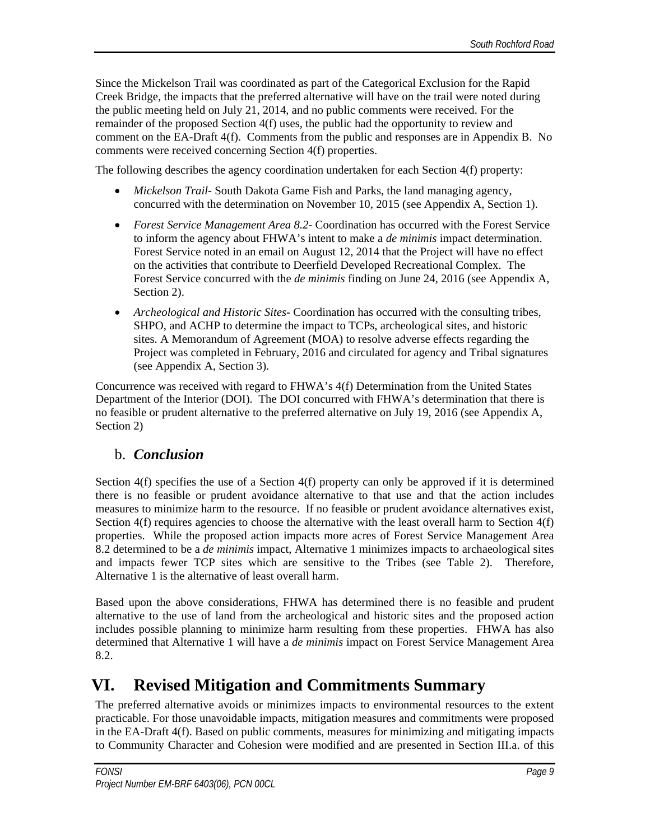Since the Mickelson Trail was coordinated as part of the Categorical Exclusion for the Rapid Creek Bridge, the impacts that the preferred alternative will have on the trail were noted during the public meeting held on July 21, 2014, and no public comments were received. For the remainder of the proposed Section 4(f) uses, the public had the opportunity to review and comment on the EA-Draft 4(f). Comments from the public and responses are in Appendix B. No comments were received concerning Section 4(f) properties.

The following describes the agency coordination undertaken for each Section 4(f) property:

- *Mickelson Trail* South Dakota Game Fish and Parks, the land managing agency, concurred with the determination on November 10, 2015 (see Appendix A, Section 1).
- *Forest Service Management Area 8.2* Coordination has occurred with the Forest Service to inform the agency about FHWA's intent to make a *de minimis* impact determination. Forest Service noted in an email on August 12, 2014 that the Project will have no effect on the activities that contribute to Deerfield Developed Recreational Complex. The Forest Service concurred with the *de minimis* finding on June 24, 2016 (see Appendix A, Section 2).
- *Archeological and Historic Sites* Coordination has occurred with the consulting tribes, SHPO, and ACHP to determine the impact to TCPs, archeological sites, and historic sites. A Memorandum of Agreement (MOA) to resolve adverse effects regarding the Project was completed in February, 2016 and circulated for agency and Tribal signatures (see Appendix A, Section 3).

Concurrence was received with regard to FHWA's 4(f) Determination from the United States Department of the Interior (DOI). The DOI concurred with FHWA's determination that there is no feasible or prudent alternative to the preferred alternative on July 19, 2016 (see Appendix A, Section 2)

#### b. *Conclusion*

Section 4(f) specifies the use of a Section 4(f) property can only be approved if it is determined there is no feasible or prudent avoidance alternative to that use and that the action includes measures to minimize harm to the resource. If no feasible or prudent avoidance alternatives exist, Section 4(f) requires agencies to choose the alternative with the least overall harm to Section 4(f) properties. While the proposed action impacts more acres of Forest Service Management Area 8.2 determined to be a *de minimis* impact, Alternative 1 minimizes impacts to archaeological sites and impacts fewer TCP sites which are sensitive to the Tribes (see Table 2). Therefore, Alternative 1 is the alternative of least overall harm.

Based upon the above considerations, FHWA has determined there is no feasible and prudent alternative to the use of land from the archeological and historic sites and the proposed action includes possible planning to minimize harm resulting from these properties. FHWA has also determined that Alternative 1 will have a *de minimis* impact on Forest Service Management Area 8.2.

### **VI. Revised Mitigation and Commitments Summary**

The preferred alternative avoids or minimizes impacts to environmental resources to the extent practicable. For those unavoidable impacts, mitigation measures and commitments were proposed in the EA-Draft 4(f). Based on public comments, measures for minimizing and mitigating impacts to Community Character and Cohesion were modified and are presented in Section III.a. of this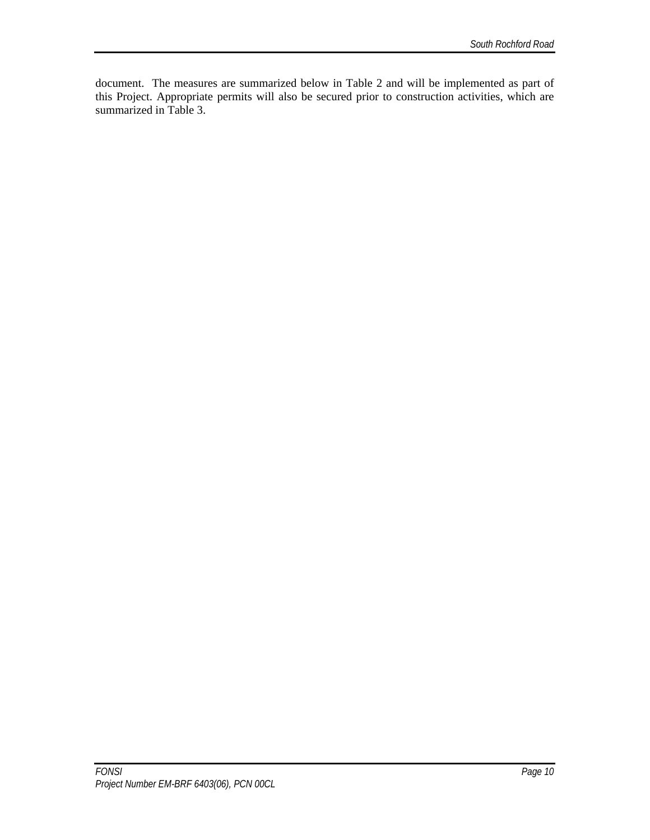document. The measures are summarized below in Table 2 and will be implemented as part of this Project. Appropriate permits will also be secured prior to construction activities, which are summarized in Table 3.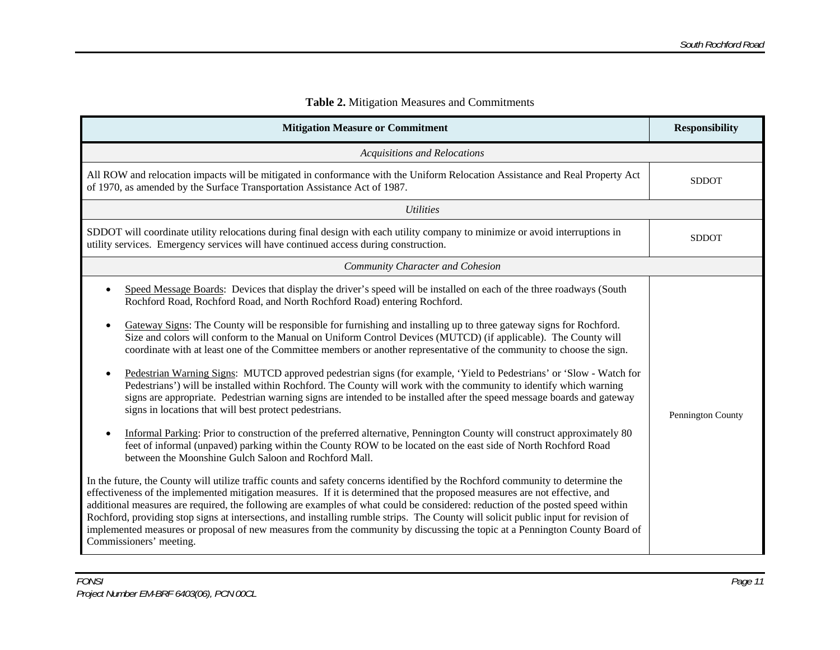| <b>Mitigation Measure or Commitment</b>                                                                                                                                                                                                                                                                                                                                                                                                                                                                                                                                                                                                                                                                                                                                                                                                                                                                                                                                                                                                                                                                                                                                                                                                                                                                                                                                                                                                                                                                                                                                                                                                                                                                                                                                                                                                                                                                                                                                                                                                                             | <b>Responsibility</b> |
|---------------------------------------------------------------------------------------------------------------------------------------------------------------------------------------------------------------------------------------------------------------------------------------------------------------------------------------------------------------------------------------------------------------------------------------------------------------------------------------------------------------------------------------------------------------------------------------------------------------------------------------------------------------------------------------------------------------------------------------------------------------------------------------------------------------------------------------------------------------------------------------------------------------------------------------------------------------------------------------------------------------------------------------------------------------------------------------------------------------------------------------------------------------------------------------------------------------------------------------------------------------------------------------------------------------------------------------------------------------------------------------------------------------------------------------------------------------------------------------------------------------------------------------------------------------------------------------------------------------------------------------------------------------------------------------------------------------------------------------------------------------------------------------------------------------------------------------------------------------------------------------------------------------------------------------------------------------------------------------------------------------------------------------------------------------------|-----------------------|
| <b>Acquisitions and Relocations</b>                                                                                                                                                                                                                                                                                                                                                                                                                                                                                                                                                                                                                                                                                                                                                                                                                                                                                                                                                                                                                                                                                                                                                                                                                                                                                                                                                                                                                                                                                                                                                                                                                                                                                                                                                                                                                                                                                                                                                                                                                                 |                       |
| All ROW and relocation impacts will be mitigated in conformance with the Uniform Relocation Assistance and Real Property Act<br>of 1970, as amended by the Surface Transportation Assistance Act of 1987.                                                                                                                                                                                                                                                                                                                                                                                                                                                                                                                                                                                                                                                                                                                                                                                                                                                                                                                                                                                                                                                                                                                                                                                                                                                                                                                                                                                                                                                                                                                                                                                                                                                                                                                                                                                                                                                           | <b>SDDOT</b>          |
| <b>Utilities</b>                                                                                                                                                                                                                                                                                                                                                                                                                                                                                                                                                                                                                                                                                                                                                                                                                                                                                                                                                                                                                                                                                                                                                                                                                                                                                                                                                                                                                                                                                                                                                                                                                                                                                                                                                                                                                                                                                                                                                                                                                                                    |                       |
| SDDOT will coordinate utility relocations during final design with each utility company to minimize or avoid interruptions in<br>utility services. Emergency services will have continued access during construction.                                                                                                                                                                                                                                                                                                                                                                                                                                                                                                                                                                                                                                                                                                                                                                                                                                                                                                                                                                                                                                                                                                                                                                                                                                                                                                                                                                                                                                                                                                                                                                                                                                                                                                                                                                                                                                               | <b>SDDOT</b>          |
| <b>Community Character and Cohesion</b>                                                                                                                                                                                                                                                                                                                                                                                                                                                                                                                                                                                                                                                                                                                                                                                                                                                                                                                                                                                                                                                                                                                                                                                                                                                                                                                                                                                                                                                                                                                                                                                                                                                                                                                                                                                                                                                                                                                                                                                                                             |                       |
| Speed Message Boards: Devices that display the driver's speed will be installed on each of the three roadways (South<br>$\bullet$<br>Rochford Road, Rochford Road, and North Rochford Road) entering Rochford.<br>Gateway Signs: The County will be responsible for furnishing and installing up to three gateway signs for Rochford.<br>$\bullet$<br>Size and colors will conform to the Manual on Uniform Control Devices (MUTCD) (if applicable). The County will<br>coordinate with at least one of the Committee members or another representative of the community to choose the sign.<br>Pedestrian Warning Signs: MUTCD approved pedestrian signs (for example, 'Yield to Pedestrians' or 'Slow - Watch for<br>$\bullet$<br>Pedestrians') will be installed within Rochford. The County will work with the community to identify which warning<br>signs are appropriate. Pedestrian warning signs are intended to be installed after the speed message boards and gateway<br>signs in locations that will best protect pedestrians.<br>Informal Parking: Prior to construction of the preferred alternative, Pennington County will construct approximately 80<br>$\bullet$<br>feet of informal (unpaved) parking within the County ROW to be located on the east side of North Rochford Road<br>between the Moonshine Gulch Saloon and Rochford Mall.<br>In the future, the County will utilize traffic counts and safety concerns identified by the Rochford community to determine the<br>effectiveness of the implemented mitigation measures. If it is determined that the proposed measures are not effective, and<br>additional measures are required, the following are examples of what could be considered: reduction of the posted speed within<br>Rochford, providing stop signs at intersections, and installing rumble strips. The County will solicit public input for revision of<br>implemented measures or proposal of new measures from the community by discussing the topic at a Pennington County Board of<br>Commissioners' meeting. | Pennington County     |

#### **Table 2.** Mitigation Measures and Commitments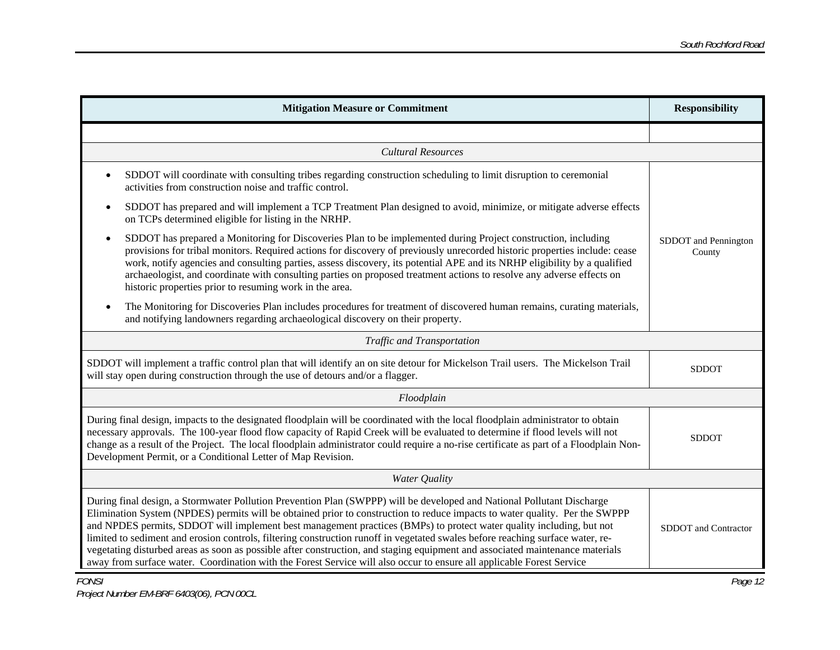| <b>Mitigation Measure or Commitment</b>                                                                                                                                                                                                                                                                                                                                                                                                                                                                                                                                                                                                                                                                                                                                   | <b>Responsibility</b>          |  |  |
|---------------------------------------------------------------------------------------------------------------------------------------------------------------------------------------------------------------------------------------------------------------------------------------------------------------------------------------------------------------------------------------------------------------------------------------------------------------------------------------------------------------------------------------------------------------------------------------------------------------------------------------------------------------------------------------------------------------------------------------------------------------------------|--------------------------------|--|--|
|                                                                                                                                                                                                                                                                                                                                                                                                                                                                                                                                                                                                                                                                                                                                                                           |                                |  |  |
| <b>Cultural Resources</b>                                                                                                                                                                                                                                                                                                                                                                                                                                                                                                                                                                                                                                                                                                                                                 |                                |  |  |
| SDDOT will coordinate with consulting tribes regarding construction scheduling to limit disruption to ceremonial<br>activities from construction noise and traffic control.                                                                                                                                                                                                                                                                                                                                                                                                                                                                                                                                                                                               |                                |  |  |
| SDDOT has prepared and will implement a TCP Treatment Plan designed to avoid, minimize, or mitigate adverse effects<br>$\bullet$<br>on TCPs determined eligible for listing in the NRHP.                                                                                                                                                                                                                                                                                                                                                                                                                                                                                                                                                                                  |                                |  |  |
| SDDOT has prepared a Monitoring for Discoveries Plan to be implemented during Project construction, including<br>$\bullet$<br>provisions for tribal monitors. Required actions for discovery of previously unrecorded historic properties include: cease<br>work, notify agencies and consulting parties, assess discovery, its potential APE and its NRHP eligibility by a qualified<br>archaeologist, and coordinate with consulting parties on proposed treatment actions to resolve any adverse effects on<br>historic properties prior to resuming work in the area.                                                                                                                                                                                                 | SDDOT and Pennington<br>County |  |  |
| The Monitoring for Discoveries Plan includes procedures for treatment of discovered human remains, curating materials,<br>and notifying landowners regarding archaeological discovery on their property.                                                                                                                                                                                                                                                                                                                                                                                                                                                                                                                                                                  |                                |  |  |
| Traffic and Transportation                                                                                                                                                                                                                                                                                                                                                                                                                                                                                                                                                                                                                                                                                                                                                |                                |  |  |
| SDDOT will implement a traffic control plan that will identify an on site detour for Mickelson Trail users. The Mickelson Trail<br><b>SDDOT</b><br>will stay open during construction through the use of detours and/or a flagger.                                                                                                                                                                                                                                                                                                                                                                                                                                                                                                                                        |                                |  |  |
| Floodplain                                                                                                                                                                                                                                                                                                                                                                                                                                                                                                                                                                                                                                                                                                                                                                |                                |  |  |
| During final design, impacts to the designated floodplain will be coordinated with the local floodplain administrator to obtain<br>necessary approvals. The 100-year flood flow capacity of Rapid Creek will be evaluated to determine if flood levels will not<br>change as a result of the Project. The local floodplain administrator could require a no-rise certificate as part of a Floodplain Non-<br>Development Permit, or a Conditional Letter of Map Revision.                                                                                                                                                                                                                                                                                                 | <b>SDDOT</b>                   |  |  |
| Water Quality                                                                                                                                                                                                                                                                                                                                                                                                                                                                                                                                                                                                                                                                                                                                                             |                                |  |  |
| During final design, a Stormwater Pollution Prevention Plan (SWPPP) will be developed and National Pollutant Discharge<br>Elimination System (NPDES) permits will be obtained prior to construction to reduce impacts to water quality. Per the SWPPP<br>and NPDES permits, SDDOT will implement best management practices (BMPs) to protect water quality including, but not<br>limited to sediment and erosion controls, filtering construction runoff in vegetated swales before reaching surface water, re-<br>vegetating disturbed areas as soon as possible after construction, and staging equipment and associated maintenance materials<br>away from surface water. Coordination with the Forest Service will also occur to ensure all applicable Forest Service | SDDOT and Contractor           |  |  |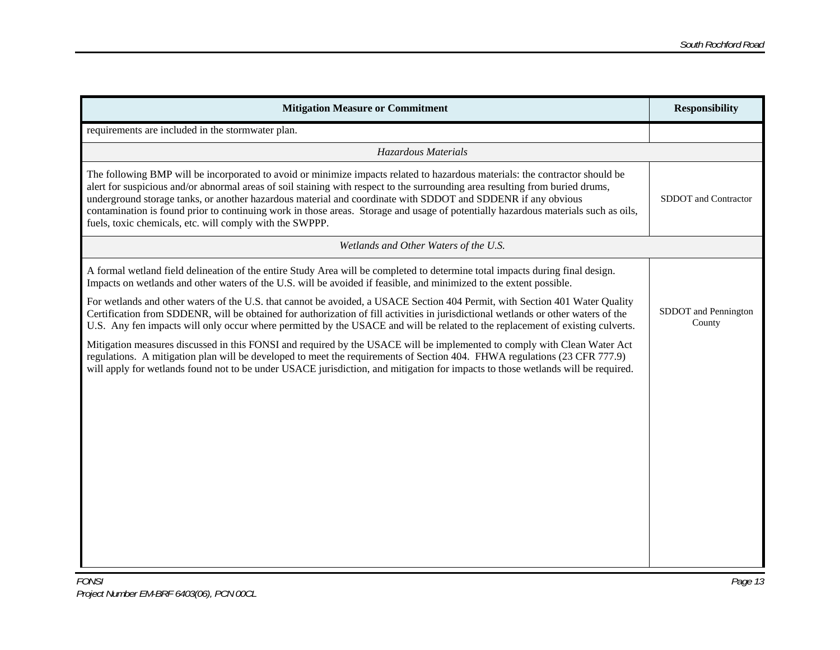| <b>Mitigation Measure or Commitment</b>                                                                                                                                                                                                                                                                                                                                                                                                                                                                                                                                         | <b>Responsibility</b>          |
|---------------------------------------------------------------------------------------------------------------------------------------------------------------------------------------------------------------------------------------------------------------------------------------------------------------------------------------------------------------------------------------------------------------------------------------------------------------------------------------------------------------------------------------------------------------------------------|--------------------------------|
| requirements are included in the stormwater plan.                                                                                                                                                                                                                                                                                                                                                                                                                                                                                                                               |                                |
| Hazardous Materials                                                                                                                                                                                                                                                                                                                                                                                                                                                                                                                                                             |                                |
| The following BMP will be incorporated to avoid or minimize impacts related to hazardous materials: the contractor should be<br>alert for suspicious and/or abnormal areas of soil staining with respect to the surrounding area resulting from buried drums,<br>underground storage tanks, or another hazardous material and coordinate with SDDOT and SDDENR if any obvious<br>contamination is found prior to continuing work in those areas. Storage and usage of potentially hazardous materials such as oils,<br>fuels, toxic chemicals, etc. will comply with the SWPPP. | SDDOT and Contractor           |
| Wetlands and Other Waters of the U.S.                                                                                                                                                                                                                                                                                                                                                                                                                                                                                                                                           |                                |
| A formal wetland field delineation of the entire Study Area will be completed to determine total impacts during final design.<br>Impacts on wetlands and other waters of the U.S. will be avoided if feasible, and minimized to the extent possible.                                                                                                                                                                                                                                                                                                                            |                                |
| For wetlands and other waters of the U.S. that cannot be avoided, a USACE Section 404 Permit, with Section 401 Water Quality<br>Certification from SDDENR, will be obtained for authorization of fill activities in jurisdictional wetlands or other waters of the<br>U.S. Any fen impacts will only occur where permitted by the USACE and will be related to the replacement of existing culverts.                                                                                                                                                                            | SDDOT and Pennington<br>County |
| Mitigation measures discussed in this FONSI and required by the USACE will be implemented to comply with Clean Water Act<br>regulations. A mitigation plan will be developed to meet the requirements of Section 404. FHWA regulations (23 CFR 777.9)<br>will apply for wetlands found not to be under USACE jurisdiction, and mitigation for impacts to those wetlands will be required.                                                                                                                                                                                       |                                |
|                                                                                                                                                                                                                                                                                                                                                                                                                                                                                                                                                                                 |                                |
|                                                                                                                                                                                                                                                                                                                                                                                                                                                                                                                                                                                 |                                |
|                                                                                                                                                                                                                                                                                                                                                                                                                                                                                                                                                                                 |                                |
|                                                                                                                                                                                                                                                                                                                                                                                                                                                                                                                                                                                 |                                |
|                                                                                                                                                                                                                                                                                                                                                                                                                                                                                                                                                                                 |                                |
|                                                                                                                                                                                                                                                                                                                                                                                                                                                                                                                                                                                 |                                |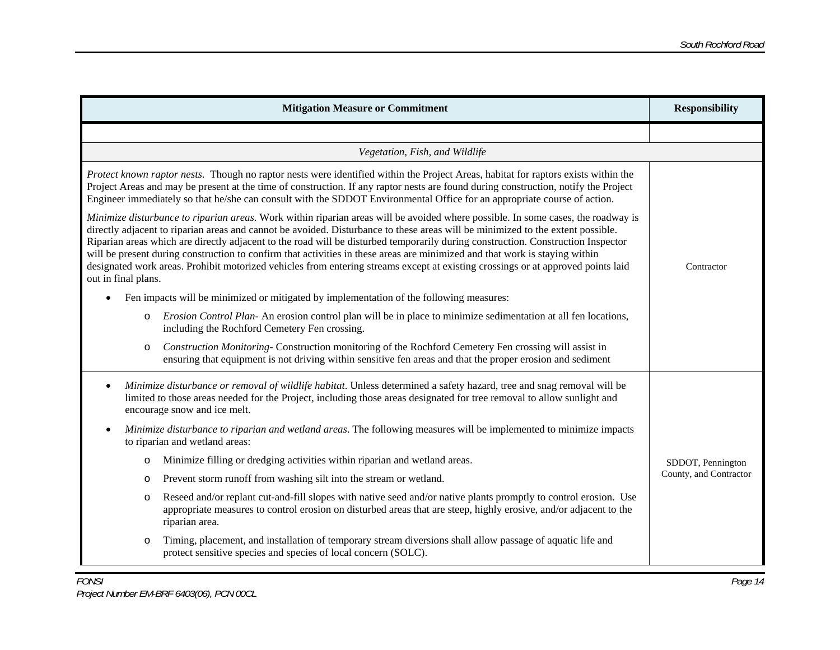| <b>Mitigation Measure or Commitment</b>                                                                                                                                                                                                                                                                                                                                                                                                                                                                                                                                                                                                                                                           | <b>Responsibility</b>  |
|---------------------------------------------------------------------------------------------------------------------------------------------------------------------------------------------------------------------------------------------------------------------------------------------------------------------------------------------------------------------------------------------------------------------------------------------------------------------------------------------------------------------------------------------------------------------------------------------------------------------------------------------------------------------------------------------------|------------------------|
|                                                                                                                                                                                                                                                                                                                                                                                                                                                                                                                                                                                                                                                                                                   |                        |
| Vegetation, Fish, and Wildlife                                                                                                                                                                                                                                                                                                                                                                                                                                                                                                                                                                                                                                                                    |                        |
| Protect known raptor nests. Though no raptor nests were identified within the Project Areas, habitat for raptors exists within the<br>Project Areas and may be present at the time of construction. If any raptor nests are found during construction, notify the Project<br>Engineer immediately so that he/she can consult with the SDDOT Environmental Office for an appropriate course of action.                                                                                                                                                                                                                                                                                             |                        |
| Minimize disturbance to riparian areas. Work within riparian areas will be avoided where possible. In some cases, the roadway is<br>directly adjacent to riparian areas and cannot be avoided. Disturbance to these areas will be minimized to the extent possible.<br>Riparian areas which are directly adjacent to the road will be disturbed temporarily during construction. Construction Inspector<br>will be present during construction to confirm that activities in these areas are minimized and that work is staying within<br>designated work areas. Prohibit motorized vehicles from entering streams except at existing crossings or at approved points laid<br>out in final plans. | Contractor             |
| Fen impacts will be minimized or mitigated by implementation of the following measures:<br>$\bullet$                                                                                                                                                                                                                                                                                                                                                                                                                                                                                                                                                                                              |                        |
| <i>Erosion Control Plan-An erosion control plan will be in place to minimize sedimentation at all fen locations,</i><br>$\circ$<br>including the Rochford Cemetery Fen crossing.                                                                                                                                                                                                                                                                                                                                                                                                                                                                                                                  |                        |
| Construction Monitoring- Construction monitoring of the Rochford Cemetery Fen crossing will assist in<br>$\circ$<br>ensuring that equipment is not driving within sensitive fen areas and that the proper erosion and sediment                                                                                                                                                                                                                                                                                                                                                                                                                                                                    |                        |
| Minimize disturbance or removal of wildlife habitat. Unless determined a safety hazard, tree and snag removal will be<br>limited to those areas needed for the Project, including those areas designated for tree removal to allow sunlight and<br>encourage snow and ice melt.                                                                                                                                                                                                                                                                                                                                                                                                                   |                        |
| Minimize disturbance to riparian and wetland areas. The following measures will be implemented to minimize impacts<br>to riparian and wetland areas:                                                                                                                                                                                                                                                                                                                                                                                                                                                                                                                                              |                        |
| Minimize filling or dredging activities within riparian and wetland areas.<br>O                                                                                                                                                                                                                                                                                                                                                                                                                                                                                                                                                                                                                   | SDDOT, Pennington      |
| Prevent storm runoff from washing silt into the stream or wetland.<br>O                                                                                                                                                                                                                                                                                                                                                                                                                                                                                                                                                                                                                           | County, and Contractor |
| Reseed and/or replant cut-and-fill slopes with native seed and/or native plants promptly to control erosion. Use<br>$\circ$<br>appropriate measures to control erosion on disturbed areas that are steep, highly erosive, and/or adjacent to the<br>riparian area.                                                                                                                                                                                                                                                                                                                                                                                                                                |                        |
| Timing, placement, and installation of temporary stream diversions shall allow passage of aquatic life and<br>$\circ$<br>protect sensitive species and species of local concern (SOLC).                                                                                                                                                                                                                                                                                                                                                                                                                                                                                                           |                        |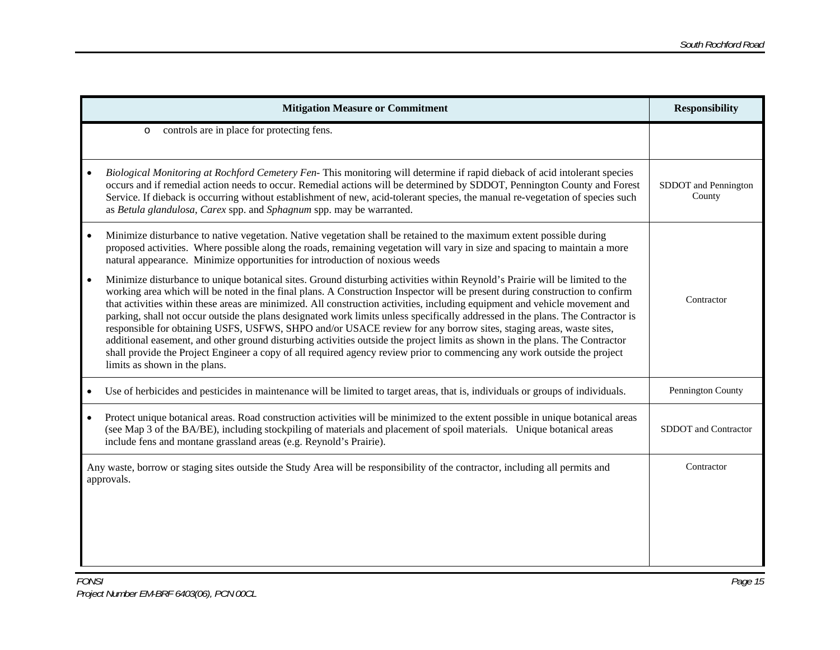|           | <b>Mitigation Measure or Commitment</b>                                                                                                                                                                                                                                                                                                                                                                                                                                                                                                                                                                                                                                                                                                                                                                                                                                                                                                          | <b>Responsibility</b>          |
|-----------|--------------------------------------------------------------------------------------------------------------------------------------------------------------------------------------------------------------------------------------------------------------------------------------------------------------------------------------------------------------------------------------------------------------------------------------------------------------------------------------------------------------------------------------------------------------------------------------------------------------------------------------------------------------------------------------------------------------------------------------------------------------------------------------------------------------------------------------------------------------------------------------------------------------------------------------------------|--------------------------------|
|           | controls are in place for protecting fens.<br>$\circ$                                                                                                                                                                                                                                                                                                                                                                                                                                                                                                                                                                                                                                                                                                                                                                                                                                                                                            |                                |
|           | Biological Monitoring at Rochford Cemetery Fen-This monitoring will determine if rapid dieback of acid intolerant species<br>occurs and if remedial action needs to occur. Remedial actions will be determined by SDDOT, Pennington County and Forest<br>Service. If dieback is occurring without establishment of new, acid-tolerant species, the manual re-vegetation of species such<br>as Betula glandulosa, Carex spp. and Sphagnum spp. may be warranted.                                                                                                                                                                                                                                                                                                                                                                                                                                                                                  | SDDOT and Pennington<br>County |
| $\bullet$ | Minimize disturbance to native vegetation. Native vegetation shall be retained to the maximum extent possible during<br>proposed activities. Where possible along the roads, remaining vegetation will vary in size and spacing to maintain a more<br>natural appearance. Minimize opportunities for introduction of noxious weeds                                                                                                                                                                                                                                                                                                                                                                                                                                                                                                                                                                                                               |                                |
|           | Minimize disturbance to unique botanical sites. Ground disturbing activities within Reynold's Prairie will be limited to the<br>working area which will be noted in the final plans. A Construction Inspector will be present during construction to confirm<br>that activities within these areas are minimized. All construction activities, including equipment and vehicle movement and<br>parking, shall not occur outside the plans designated work limits unless specifically addressed in the plans. The Contractor is<br>responsible for obtaining USFS, USFWS, SHPO and/or USACE review for any borrow sites, staging areas, waste sites,<br>additional easement, and other ground disturbing activities outside the project limits as shown in the plans. The Contractor<br>shall provide the Project Engineer a copy of all required agency review prior to commencing any work outside the project<br>limits as shown in the plans. | Contractor                     |
|           | Use of herbicides and pesticides in maintenance will be limited to target areas, that is, individuals or groups of individuals.                                                                                                                                                                                                                                                                                                                                                                                                                                                                                                                                                                                                                                                                                                                                                                                                                  | Pennington County              |
|           | Protect unique botanical areas. Road construction activities will be minimized to the extent possible in unique botanical areas<br>(see Map 3 of the BA/BE), including stockpiling of materials and placement of spoil materials. Unique botanical areas<br>include fens and montane grassland areas (e.g. Reynold's Prairie).                                                                                                                                                                                                                                                                                                                                                                                                                                                                                                                                                                                                                   | SDDOT and Contractor           |
|           | Any waste, borrow or staging sites outside the Study Area will be responsibility of the contractor, including all permits and<br>approvals.                                                                                                                                                                                                                                                                                                                                                                                                                                                                                                                                                                                                                                                                                                                                                                                                      | Contractor                     |
|           |                                                                                                                                                                                                                                                                                                                                                                                                                                                                                                                                                                                                                                                                                                                                                                                                                                                                                                                                                  |                                |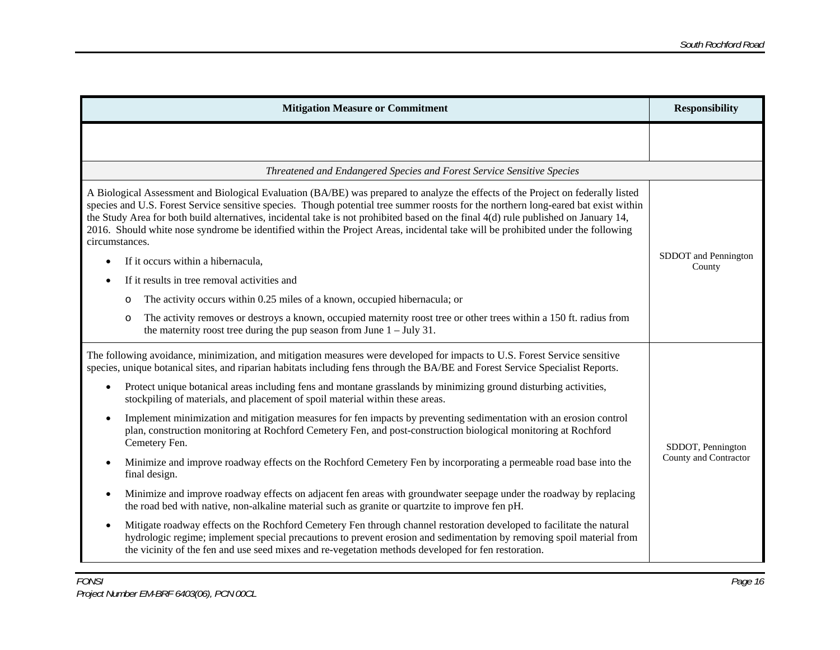| <b>Mitigation Measure or Commitment</b>                                                                                                                                                                                                                                                                                                                                                                                                                                                                                                                               | <b>Responsibility</b>          |
|-----------------------------------------------------------------------------------------------------------------------------------------------------------------------------------------------------------------------------------------------------------------------------------------------------------------------------------------------------------------------------------------------------------------------------------------------------------------------------------------------------------------------------------------------------------------------|--------------------------------|
|                                                                                                                                                                                                                                                                                                                                                                                                                                                                                                                                                                       |                                |
| Threatened and Endangered Species and Forest Service Sensitive Species                                                                                                                                                                                                                                                                                                                                                                                                                                                                                                |                                |
| A Biological Assessment and Biological Evaluation (BA/BE) was prepared to analyze the effects of the Project on federally listed<br>species and U.S. Forest Service sensitive species. Though potential tree summer roosts for the northern long-eared bat exist within<br>the Study Area for both build alternatives, incidental take is not prohibited based on the final $4(d)$ rule published on January 14,<br>2016. Should white nose syndrome be identified within the Project Areas, incidental take will be prohibited under the following<br>circumstances. |                                |
| If it occurs within a hibernacula,<br>$\bullet$                                                                                                                                                                                                                                                                                                                                                                                                                                                                                                                       | SDDOT and Pennington<br>County |
| If it results in tree removal activities and                                                                                                                                                                                                                                                                                                                                                                                                                                                                                                                          |                                |
| The activity occurs within 0.25 miles of a known, occupied hibernacula; or<br>$\circ$                                                                                                                                                                                                                                                                                                                                                                                                                                                                                 |                                |
| The activity removes or destroys a known, occupied maternity roost tree or other trees within a 150 ft. radius from<br>$\circ$<br>the maternity roost tree during the pup season from June $1 -$ July 31.                                                                                                                                                                                                                                                                                                                                                             |                                |
| The following avoidance, minimization, and mitigation measures were developed for impacts to U.S. Forest Service sensitive<br>species, unique botanical sites, and riparian habitats including fens through the BA/BE and Forest Service Specialist Reports.                                                                                                                                                                                                                                                                                                          |                                |
| Protect unique botanical areas including fens and montane grasslands by minimizing ground disturbing activities,<br>$\bullet$<br>stockpiling of materials, and placement of spoil material within these areas.                                                                                                                                                                                                                                                                                                                                                        |                                |
| Implement minimization and mitigation measures for fen impacts by preventing sedimentation with an erosion control<br>$\bullet$<br>plan, construction monitoring at Rochford Cemetery Fen, and post-construction biological monitoring at Rochford<br>Cemetery Fen.                                                                                                                                                                                                                                                                                                   | SDDOT, Pennington              |
| Minimize and improve roadway effects on the Rochford Cemetery Fen by incorporating a permeable road base into the<br>$\bullet$<br>final design.                                                                                                                                                                                                                                                                                                                                                                                                                       | County and Contractor          |
| Minimize and improve roadway effects on adjacent fen areas with groundwater seepage under the roadway by replacing<br>$\bullet$<br>the road bed with native, non-alkaline material such as granite or quartzite to improve fen pH.                                                                                                                                                                                                                                                                                                                                    |                                |
| Mitigate roadway effects on the Rochford Cemetery Fen through channel restoration developed to facilitate the natural<br>hydrologic regime; implement special precautions to prevent erosion and sedimentation by removing spoil material from<br>the vicinity of the fen and use seed mixes and re-vegetation methods developed for fen restoration.                                                                                                                                                                                                                 |                                |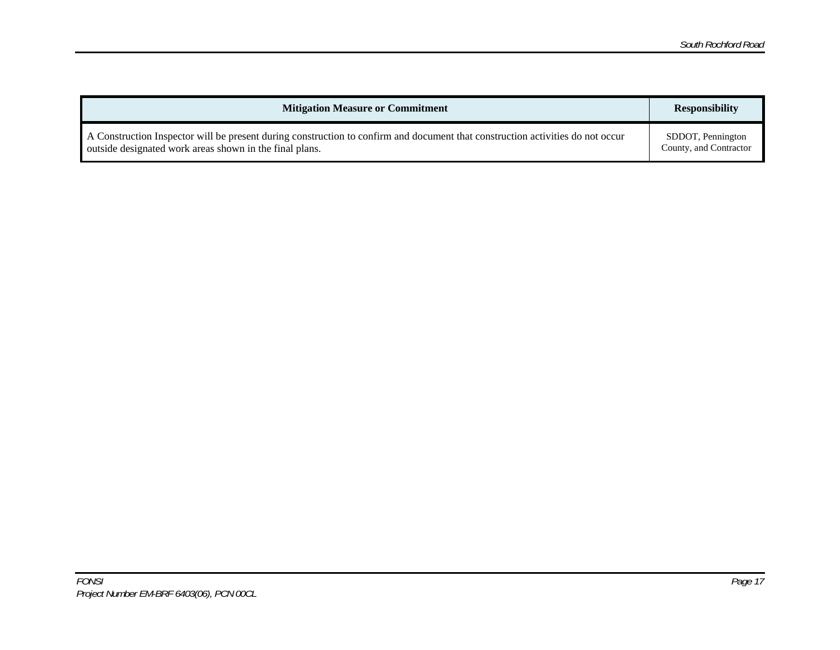| <b>Mitigation Measure or Commitment</b>                                                                                        | <b>Responsibility</b>  |
|--------------------------------------------------------------------------------------------------------------------------------|------------------------|
| A Construction Inspector will be present during construction to confirm and document that construction activities do not occur | SDDOT, Pennington      |
| outside designated work areas shown in the final plans.                                                                        | County, and Contractor |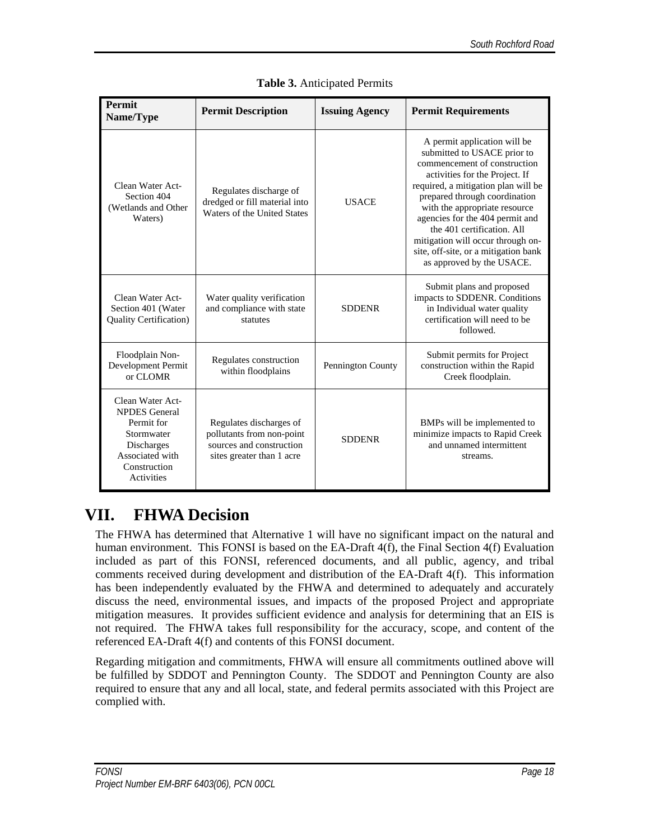| Permit<br>Name/Type                                                                                                                        | <b>Permit Description</b>                                                                                     | <b>Issuing Agency</b> | <b>Permit Requirements</b>                                                                                                                                                                                                                                                                                                                                                                                        |
|--------------------------------------------------------------------------------------------------------------------------------------------|---------------------------------------------------------------------------------------------------------------|-----------------------|-------------------------------------------------------------------------------------------------------------------------------------------------------------------------------------------------------------------------------------------------------------------------------------------------------------------------------------------------------------------------------------------------------------------|
| Clean Water Act-<br>Section 404<br>(Wetlands and Other<br>Waters)                                                                          | Regulates discharge of<br>dredged or fill material into<br>Waters of the United States                        | <b>USACE</b>          | A permit application will be<br>submitted to USACE prior to<br>commencement of construction<br>activities for the Project. If<br>required, a mitigation plan will be<br>prepared through coordination<br>with the appropriate resource<br>agencies for the 404 permit and<br>the 401 certification. All<br>mitigation will occur through on-<br>site, off-site, or a mitigation bank<br>as approved by the USACE. |
| Clean Water Act-<br>Section 401 (Water<br><b>Quality Certification)</b>                                                                    | Water quality verification<br>and compliance with state<br>statutes                                           | <b>SDDENR</b>         | Submit plans and proposed<br>impacts to SDDENR. Conditions<br>in Individual water quality<br>certification will need to be<br>followed.                                                                                                                                                                                                                                                                           |
| Floodplain Non-<br>Development Permit<br>or CLOMR                                                                                          | Regulates construction<br>within floodplains                                                                  | Pennington County     | Submit permits for Project<br>construction within the Rapid<br>Creek floodplain.                                                                                                                                                                                                                                                                                                                                  |
| Clean Water Act-<br><b>NPDES</b> General<br>Permit for<br>Stormwater<br>Discharges<br>Associated with<br>Construction<br><b>Activities</b> | Regulates discharges of<br>pollutants from non-point<br>sources and construction<br>sites greater than 1 acre | <b>SDDENR</b>         | BMPs will be implemented to<br>minimize impacts to Rapid Creek<br>and unnamed intermittent<br>streams.                                                                                                                                                                                                                                                                                                            |

**Table 3.** Anticipated Permits

# **VII. FHWA Decision**

The FHWA has determined that Alternative 1 will have no significant impact on the natural and human environment. This FONSI is based on the EA-Draft 4(f), the Final Section 4(f) Evaluation included as part of this FONSI, referenced documents, and all public, agency, and tribal comments received during development and distribution of the EA-Draft 4(f). This information has been independently evaluated by the FHWA and determined to adequately and accurately discuss the need, environmental issues, and impacts of the proposed Project and appropriate mitigation measures. It provides sufficient evidence and analysis for determining that an EIS is not required. The FHWA takes full responsibility for the accuracy, scope, and content of the referenced EA-Draft 4(f) and contents of this FONSI document.

Regarding mitigation and commitments, FHWA will ensure all commitments outlined above will be fulfilled by SDDOT and Pennington County. The SDDOT and Pennington County are also required to ensure that any and all local, state, and federal permits associated with this Project are complied with.